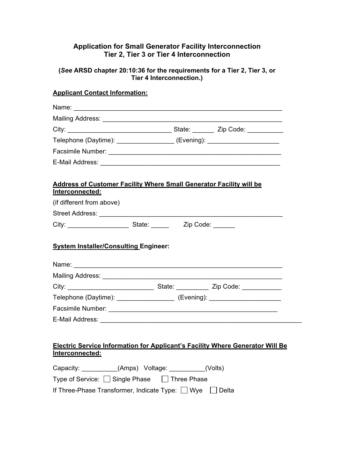## **Application for Small Generator Facility Interconnection Tier 2, Tier 3 or Tier 4 Interconnection**

#### **(***See* **ARSD chapter 20:10:36 for the requirements for a Tier 2, Tier 3, or Tier 4 Interconnection.)**

# **Applicant Contact Information:**

| Telephone (Daytime): __________________ (Evening): ______________________                     |  |  |
|-----------------------------------------------------------------------------------------------|--|--|
|                                                                                               |  |  |
|                                                                                               |  |  |
| <b>Address of Customer Facility Where Small Generator Facility will be</b><br>Interconnected: |  |  |
| (if different from above)                                                                     |  |  |
|                                                                                               |  |  |
|                                                                                               |  |  |
|                                                                                               |  |  |
| <b>System Installer/Consulting Engineer:</b>                                                  |  |  |
|                                                                                               |  |  |
|                                                                                               |  |  |
| Telephone (Daytime): ____________________ (Evening): ______________________                   |  |  |
|                                                                                               |  |  |

| Capacity:                                                |  | (Amps) Voltage: | (Volts) |
|----------------------------------------------------------|--|-----------------|---------|
| Type of Service: $\Box$ Single Phase $\Box$ Three Phase  |  |                 |         |
| If Three-Phase Transformer, Indicate Type: □ Wye □ Delta |  |                 |         |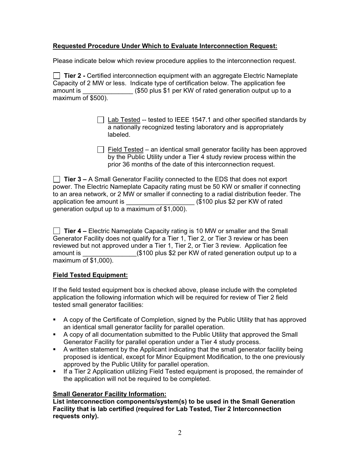## **Requested Procedure Under Which to Evaluate Interconnection Request:**

Please indicate below which review procedure applies to the interconnection request.

**Tier 2 -** Certified interconnection equipment with an aggregate Electric Nameplate Capacity of 2 MW or less. Indicate type of certification below. The application fee amount is  $( $50 \text{ plus $1 \text{ per KW of rated generation output up to a})$ maximum of \$500).

- $\Box$  Lab Tested -- tested to IEEE 1547.1 and other specified standards by a nationally recognized testing laboratory and is appropriately labeled.
- $\Box$  Field Tested an identical small generator facility has been approved by the Public Utility under a Tier 4 study review process within the prior 36 months of the date of this interconnection request.

**Tier 3 –** A Small Generator Facility connected to the EDS that does not export power. The Electric Nameplate Capacity rating must be 50 KW or smaller if connecting to an area network, or 2 MW or smaller if connecting to a radial distribution feeder. The application fee amount is  $\qquad \qquad$  (\$100 plus \$2 per KW of rated generation output up to a maximum of \$1,000).

**Tier 4 –** Electric Nameplate Capacity rating is 10 MW or smaller and the Small Generator Facility does not qualify for a Tier 1, Tier 2, or Tier 3 review or has been reviewed but not approved under a Tier 1, Tier 2, or Tier 3 review. Application fee amount is  $(\$100 \text{ plus } \$2 \text{ per KW of rated generation output up to a})$ maximum of \$1,000).

#### **Field Tested Equipment:**

If the field tested equipment box is checked above, please include with the completed application the following information which will be required for review of Tier 2 field tested small generator facilities:

- A copy of the Certificate of Completion, signed by the Public Utility that has approved an identical small generator facility for parallel operation.
- A copy of all documentation submitted to the Public Utility that approved the Small Generator Facility for parallel operation under a Tier 4 study process.
- A written statement by the Applicant indicating that the small generator facility being proposed is identical, except for Minor Equipment Modification, to the one previously approved by the Public Utility for parallel operation.
- If a Tier 2 Application utilizing Field Tested equipment is proposed, the remainder of the application will not be required to be completed.

# **Small Generator Facility Information:**

**List interconnection components/system(s) to be used in the Small Generation Facility that is lab certified (required for Lab Tested, Tier 2 Interconnection requests only).**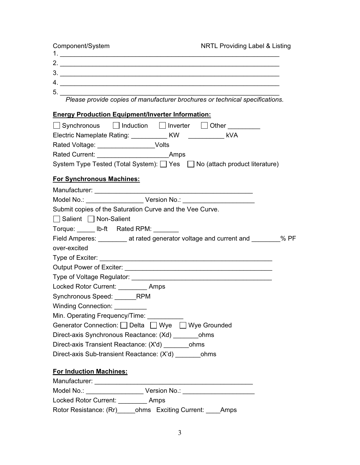| Component/System                                                                    | <b>NRTL Providing Label &amp; Listing</b> |
|-------------------------------------------------------------------------------------|-------------------------------------------|
|                                                                                     |                                           |
|                                                                                     |                                           |
|                                                                                     |                                           |
|                                                                                     |                                           |
| 5. Please provide copies of manufacturer brochures or technical specifications.     |                                           |
|                                                                                     |                                           |
| <b>Energy Production Equipment/Inverter Information:</b>                            |                                           |
| Synchronous Induction Inverter Other                                                |                                           |
|                                                                                     |                                           |
| Rated Voltage: __________________Volts                                              |                                           |
|                                                                                     |                                           |
| System Type Tested (Total System): □ Yes □ No (attach product literature)           |                                           |
| <b>For Synchronous Machines:</b>                                                    |                                           |
|                                                                                     |                                           |
|                                                                                     |                                           |
| Submit copies of the Saturation Curve and the Vee Curve.                            |                                           |
| Salient Non-Salient                                                                 |                                           |
| Torque: ____ lb-ft Rated RPM: _______                                               |                                           |
| Field Amperes: ____________ at rated generator voltage and current and ________% PF |                                           |
| over-excited                                                                        |                                           |
|                                                                                     |                                           |
|                                                                                     |                                           |
|                                                                                     |                                           |
| Locked Rotor Current: _________ Amps                                                |                                           |
| Synchronous Speed: _______RPM                                                       |                                           |
| <b>Winding Connection:</b>                                                          |                                           |
| Min. Operating Frequency/Time: ___________                                          |                                           |
| Generator Connection: O Delta O Wye O Wye Grounded                                  |                                           |
| Direct-axis Synchronous Reactance: (Xd) __________ ohms                             |                                           |
| Direct-axis Transient Reactance: (X'd) ohms                                         |                                           |
| Direct-axis Sub-transient Reactance: (X'd) ohms                                     |                                           |
|                                                                                     |                                           |
| <b>For Induction Machines:</b>                                                      |                                           |
|                                                                                     |                                           |
|                                                                                     |                                           |
| Locked Rotor Current: _________ Amps                                                |                                           |
| Rotor Resistance: (Rr) ______ ohms Exciting Current: _____ Amps                     |                                           |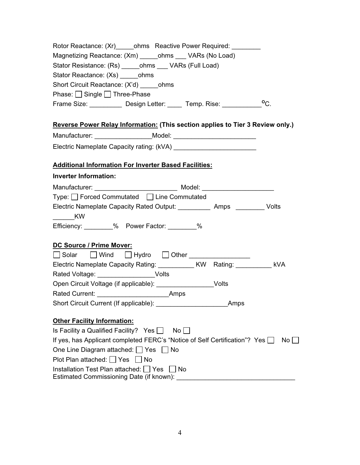| Rotor Reactance: (Xr) ______ ohms Reactive Power Required: __________                            |
|--------------------------------------------------------------------------------------------------|
| Magnetizing Reactance: (Xm) ______ ohms ____ VARs (No Load)                                      |
| Stator Resistance: (Rs) ______ ohms ____ VARs (Full Load)                                        |
| Stator Reactance: (Xs) _______ ohms                                                              |
| Short Circuit Reactance: (X'd) ohms                                                              |
| Phase: Single I Three-Phase                                                                      |
| $^{\circ}$ C.<br>Frame Size: ___________ Design Letter: _____ Temp. Rise: __________             |
| Reverse Power Relay Information: (This section applies to Tier 3 Review only.)                   |
|                                                                                                  |
|                                                                                                  |
| <b>Additional Information For Inverter Based Facilities:</b>                                     |
| <b>Inverter Information:</b>                                                                     |
|                                                                                                  |
| Type: □ Forced Commutated □ Line Commutated                                                      |
| Electric Nameplate Capacity Rated Output: ____________ Amps __________ Volts<br>$\frac{1}{2}$ KW |
| Efficiency: 30 % Power Factor: 20 %                                                              |
| DC Source / Prime Mover:                                                                         |
| Solar Wind Hydro Other ____________                                                              |
| Electric Nameplate Capacity Rating: ___________ KW Rating: __________ kVA                        |
| Rated Voltage: __________________ Volts                                                          |
| Open Circuit Voltage (if applicable): _____________________Volts                                 |
|                                                                                                  |
|                                                                                                  |
| <b>Other Facility Information:</b>                                                               |
| Is Facility a Qualified Facility? Yes $\Box$ No $\Box$                                           |
| If yes, has Applicant completed FERC's "Notice of Self Certification"? Yes □<br>$No$ $ $         |
| One Line Diagram attached: Ves<br>∣∣No                                                           |
| Plot Plan attached: $\Box$ Yes<br>∣No                                                            |
| Installation Test Plan attached: Yes No<br>Estimated Commissioning Date (if known):              |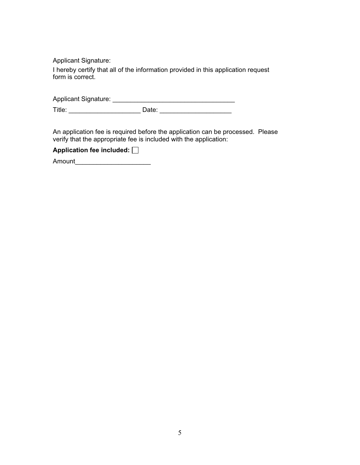Applicant Signature:

I hereby certify that all of the information provided in this application request form is correct.

| <b>Applicant Signature:</b> |  |
|-----------------------------|--|
|                             |  |

Title: \_\_\_\_\_\_\_\_\_\_\_\_\_\_\_\_\_\_\_\_ Date: \_\_\_\_\_\_\_\_\_\_\_\_\_\_\_\_\_\_\_\_

An application fee is required before the application can be processed. Please verify that the appropriate fee is included with the application:

|  |  |  | Application fee included: [ |  |
|--|--|--|-----------------------------|--|
|  |  |  |                             |  |

Amount\_\_\_\_\_\_\_\_\_\_\_\_\_\_\_\_\_\_\_\_\_